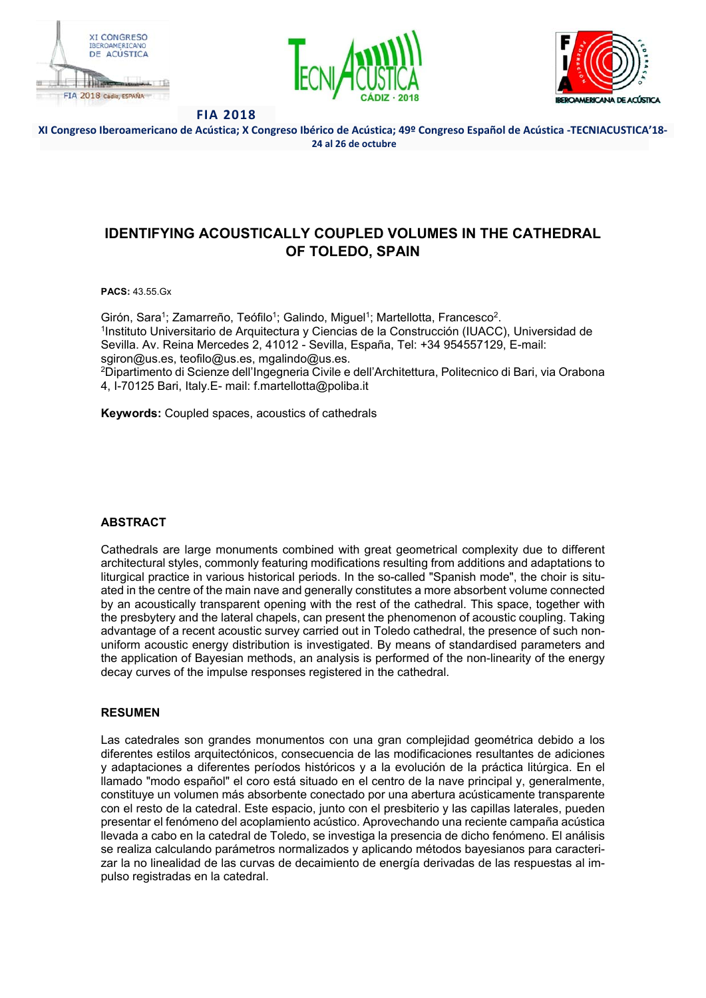





**XI Congreso Iberoamericano de Acústica; X Congreso Ibérico de Acústica; 49º Congreso Español de Acústica ‐TECNIACUSTICA'18‐ 24 al 26 de octubre** 

# **IDENTIFYING ACOUSTICALLY COUPLED VOLUMES IN THE CATHEDRAL OF TOLEDO, SPAIN**

**PACS:** 43.55.Gx

Girón, Sara<sup>1</sup>; Zamarreño, Teófilo<sup>1</sup>; Galindo, Miguel<sup>1</sup>; Martellotta, Francesco<sup>2</sup>.<br><sup>1</sup>Instituto Universitario de Arquitectura y Ciencias de la Construcción (IUACC), Universidad de Sevilla. Av. Reina Mercedes 2, 41012 - Sevilla, España, Tel: +34 954557129, E-mail: sgiron@us.es, teofilo@us.es, mgalindo@us.es. 2Dipartimento di Scienze dell'Ingegneria Civile e dell'Architettura, Politecnico di Bari, via Orabona

4, I-70125 Bari, Italy.E- mail: f.martellotta@poliba.it

**Keywords:** Coupled spaces, acoustics of cathedrals

# **ABSTRACT**

Cathedrals are large monuments combined with great geometrical complexity due to different architectural styles, commonly featuring modifications resulting from additions and adaptations to liturgical practice in various historical periods. In the so-called "Spanish mode", the choir is situated in the centre of the main nave and generally constitutes a more absorbent volume connected by an acoustically transparent opening with the rest of the cathedral. This space, together with the presbytery and the lateral chapels, can present the phenomenon of acoustic coupling. Taking advantage of a recent acoustic survey carried out in Toledo cathedral, the presence of such nonuniform acoustic energy distribution is investigated. By means of standardised parameters and the application of Bayesian methods, an analysis is performed of the non-linearity of the energy decay curves of the impulse responses registered in the cathedral.

## **RESUMEN**

Las catedrales son grandes monumentos con una gran complejidad geométrica debido a los diferentes estilos arquitectónicos, consecuencia de las modificaciones resultantes de adiciones y adaptaciones a diferentes períodos históricos y a la evolución de la práctica litúrgica. En el llamado "modo español" el coro está situado en el centro de la nave principal y, generalmente, constituye un volumen más absorbente conectado por una abertura acústicamente transparente con el resto de la catedral. Este espacio, junto con el presbiterio y las capillas laterales, pueden presentar el fenómeno del acoplamiento acústico. Aprovechando una reciente campaña acústica llevada a cabo en la catedral de Toledo, se investiga la presencia de dicho fenómeno. El análisis se realiza calculando parámetros normalizados y aplicando métodos bayesianos para caracterizar la no linealidad de las curvas de decaimiento de energía derivadas de las respuestas al impulso registradas en la catedral.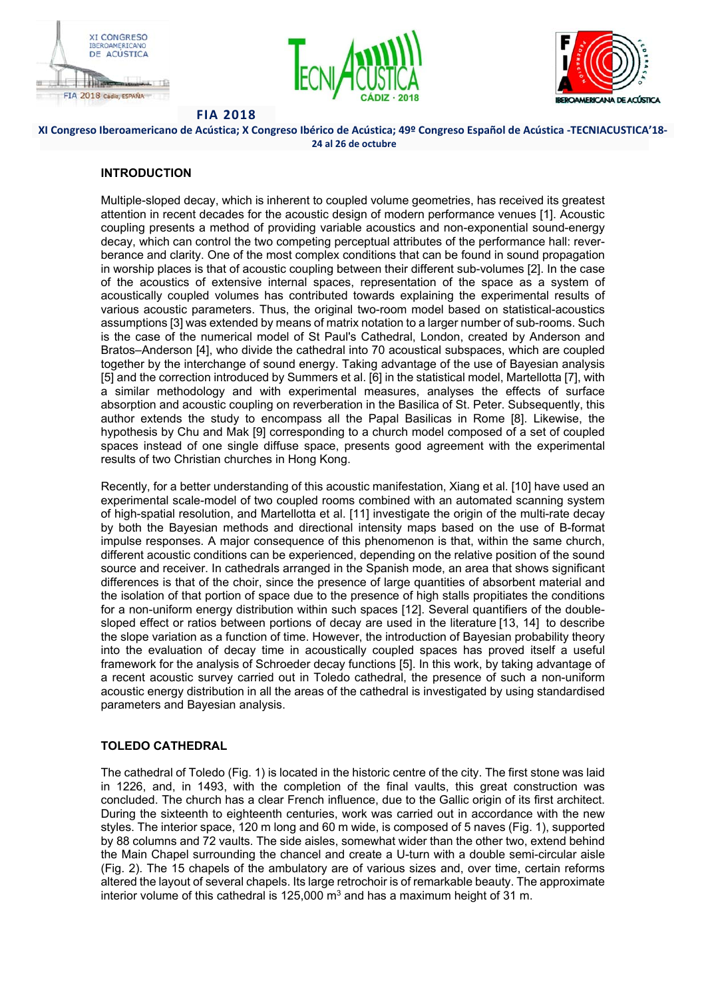





**XI Congreso Iberoamericano de Acústica; X Congreso Ibérico de Acústica; 49º Congreso Español de Acústica ‐TECNIACUSTICA'18‐ 24 al 26 de octubre** 

## **INTRODUCTION**

Multiple-sloped decay, which is inherent to coupled volume geometries, has received its greatest attention in recent decades for the acoustic design of modern performance venues [1]. Acoustic coupling presents a method of providing variable acoustics and non-exponential sound-energy decay, which can control the two competing perceptual attributes of the performance hall: reverberance and clarity. One of the most complex conditions that can be found in sound propagation in worship places is that of acoustic coupling between their different sub-volumes [2]. In the case of the acoustics of extensive internal spaces, representation of the space as a system of acoustically coupled volumes has contributed towards explaining the experimental results of various acoustic parameters. Thus, the original two-room model based on statistical-acoustics assumptions [3] was extended by means of matrix notation to a larger number of sub-rooms. Such is the case of the numerical model of St Paul's Cathedral, London, created by Anderson and Bratos–Anderson [4], who divide the cathedral into 70 acoustical subspaces, which are coupled together by the interchange of sound energy. Taking advantage of the use of Bayesian analysis [5] and the correction introduced by Summers et al. [6] in the statistical model, Martellotta [7], with a similar methodology and with experimental measures, analyses the effects of surface absorption and acoustic coupling on reverberation in the Basilica of St. Peter. Subsequently, this author extends the study to encompass all the Papal Basilicas in Rome [8]. Likewise, the hypothesis by Chu and Mak [9] corresponding to a church model composed of a set of coupled spaces instead of one single diffuse space, presents good agreement with the experimental results of two Christian churches in Hong Kong.

Recently, for a better understanding of this acoustic manifestation, Xiang et al. [10] have used an experimental scale-model of two coupled rooms combined with an automated scanning system of high-spatial resolution, and Martellotta et al. [11] investigate the origin of the multi-rate decay by both the Bayesian methods and directional intensity maps based on the use of B-format impulse responses. A major consequence of this phenomenon is that, within the same church, different acoustic conditions can be experienced, depending on the relative position of the sound source and receiver. In cathedrals arranged in the Spanish mode, an area that shows significant differences is that of the choir, since the presence of large quantities of absorbent material and the isolation of that portion of space due to the presence of high stalls propitiates the conditions for a non-uniform energy distribution within such spaces [12]. Several quantifiers of the doublesloped effect or ratios between portions of decay are used in the literature [13, 14] to describe the slope variation as a function of time. However, the introduction of Bayesian probability theory into the evaluation of decay time in acoustically coupled spaces has proved itself a useful framework for the analysis of Schroeder decay functions [5]. In this work, by taking advantage of a recent acoustic survey carried out in Toledo cathedral, the presence of such a non-uniform acoustic energy distribution in all the areas of the cathedral is investigated by using standardised parameters and Bayesian analysis.

# **TOLEDO CATHEDRAL**

The cathedral of Toledo (Fig. 1) is located in the historic centre of the city. The first stone was laid in 1226, and, in 1493, with the completion of the final vaults, this great construction was concluded. The church has a clear French influence, due to the Gallic origin of its first architect. During the sixteenth to eighteenth centuries, work was carried out in accordance with the new styles. The interior space, 120 m long and 60 m wide, is composed of 5 naves (Fig. 1), supported by 88 columns and 72 vaults. The side aisles, somewhat wider than the other two, extend behind the Main Chapel surrounding the chancel and create a U-turn with a double semi-circular aisle (Fig. 2). The 15 chapels of the ambulatory are of various sizes and, over time, certain reforms altered the layout of several chapels. Its large retrochoir is of remarkable beauty. The approximate interior volume of this cathedral is 125,000  $\text{m}^3$  and has a maximum height of 31 m.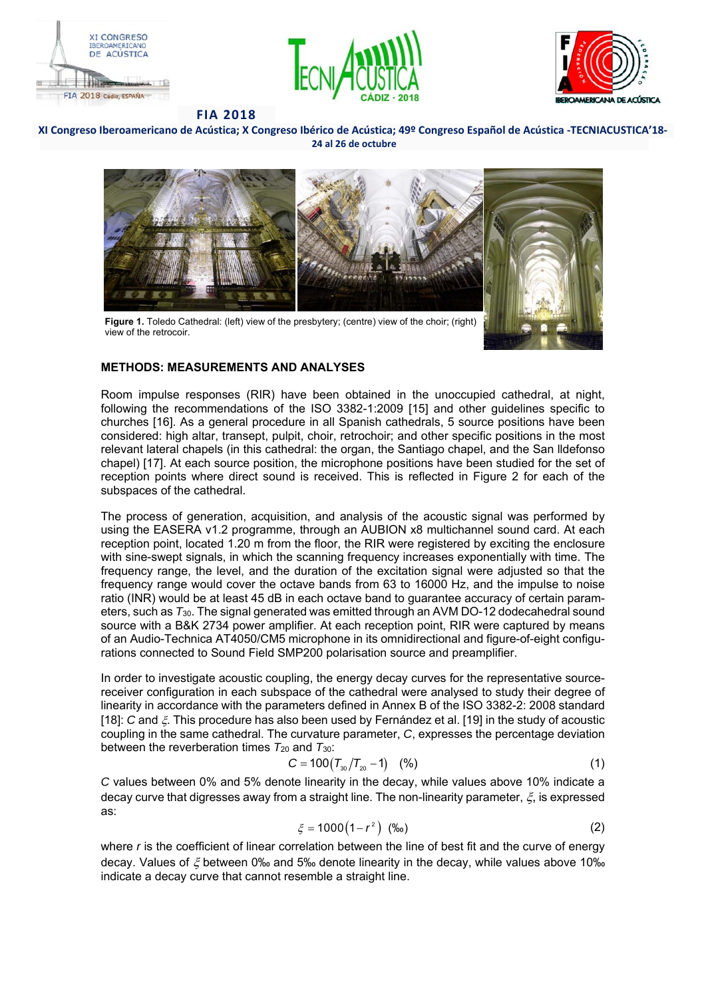





#### **XI Congreso Iberoamericano de Acústica; X Congreso Ibérico de Acústica; 49º Congreso Español de Acústica ‐TECNIACUSTICA'18‐ 24 al 26 de octubre**



Figure 1. Toledo Cathedral: (left) view of the presbytery; (centre) view of the choir; (right) view of the retrocoir.



# **METHODS: MEASUREMENTS AND ANALYSES**

Room impulse responses (RIR) have been obtained in the unoccupied cathedral, at night, following the recommendations of the ISO 3382-1:2009 [15] and other guidelines specific to churches [16]. As a general procedure in all Spanish cathedrals, 5 source positions have been considered: high altar, transept, pulpit, choir, retrochoir; and other specific positions in the most relevant lateral chapels (in this cathedral: the organ, the Santiago chapel, and the San lldefonso chapel) [17]. At each source position, the microphone positions have been studied for the set of reception points where direct sound is received. This is reflected in Figure 2 for each of the subspaces of the cathedral.

The process of generation, acquisition, and analysis of the acoustic signal was performed by using the EASERA v1.2 programme, through an AUBION x8 multichannel sound card. At each reception point, located 1.20 m from the floor, the RIR were registered by exciting the enclosure with sine-swept signals, in which the scanning frequency increases exponentially with time. The frequency range, the level, and the duration of the excitation signal were adjusted so that the frequency range would cover the octave bands from 63 to 16000 Hz, and the impulse to noise ratio (INR) would be at least 45 dB in each octave band to guarantee accuracy of certain parameters, such as *T*30. The signal generated was emitted through an AVM DO-12 dodecahedral sound source with a B&K 2734 power amplifier. At each reception point, RIR were captured by means of an Audio-Technica AT4050/CM5 microphone in its omnidirectional and figure-of-eight configurations connected to Sound Field SMP200 polarisation source and preamplifier.

In order to investigate acoustic coupling, the energy decay curves for the representative sourcereceiver configuration in each subspace of the cathedral were analysed to study their degree of linearity in accordance with the parameters defined in Annex B of the ISO 3382-2: 2008 standard [18]: *C* and  $\zeta$ . This procedure has also been used by Fernández et al. [19] in the study of acoustic coupling in the same cathedral. The curvature parameter, *C*, expresses the percentage deviation between the reverberation times *T*20 and *T*30:

$$
C = 100(T_{30}/T_{20} - 1) \quad (*)
$$
 (1)

*C* values between 0% and 5% denote linearity in the decay, while values above 10% indicate a decay curve that digresses away from a straight line. The non-linearity parameter,  $\xi$ , is expressed as:

$$
\xi = 1000(1 - r^2) \quad (\text{\%o}) \tag{2}
$$

where *r* is the coefficient of linear correlation between the line of best fit and the curve of energy decay. Values of  $\zeta$  between 0‰ and 5‰ denote linearity in the decay, while values above 10‰ indicate a decay curve that cannot resemble a straight line.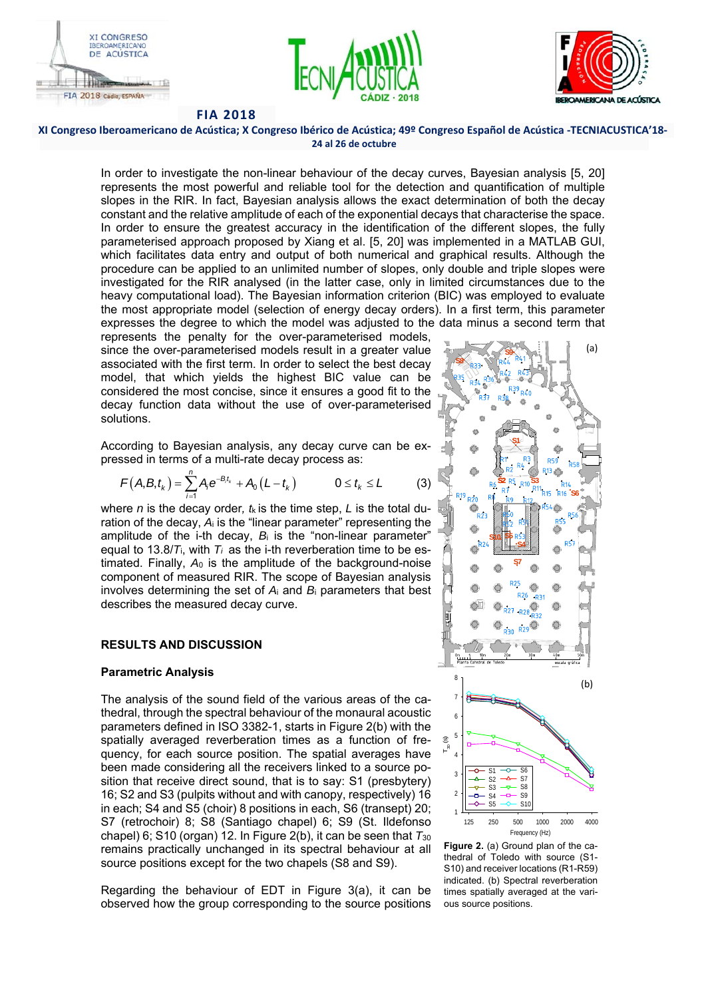





#### **XI Congreso Iberoamericano de Acústica; X Congreso Ibérico de Acústica; 49º Congreso Español de Acústica ‐TECNIACUSTICA'18‐ 24 al 26 de octubre**

In order to investigate the non-linear behaviour of the decay curves, Bayesian analysis [5, 20] represents the most powerful and reliable tool for the detection and quantification of multiple slopes in the RIR. In fact, Bayesian analysis allows the exact determination of both the decay constant and the relative amplitude of each of the exponential decays that characterise the space. In order to ensure the greatest accuracy in the identification of the different slopes, the fully parameterised approach proposed by Xiang et al. [5, 20] was implemented in a MATLAB GUI, which facilitates data entry and output of both numerical and graphical results. Although the procedure can be applied to an unlimited number of slopes, only double and triple slopes were investigated for the RIR analysed (in the latter case, only in limited circumstances due to the heavy computational load). The Bayesian information criterion (BIC) was employed to evaluate the most appropriate model (selection of energy decay orders). In a first term, this parameter expresses the degree to which the model was adjusted to the data minus a second term that

represents the penalty for the over-parameterised models, since the over-parameterised models result in a greater value associated with the first term. In order to select the best decay model, that which yields the highest BIC value can be considered the most concise, since it ensures a good fit to the decay function data without the use of over-parameterised solutions.

According to Bayesian analysis, any decay curve can be expressed in terms of a multi-rate decay process as:

$$
F(A, B, t_{k}) = \sum_{i=1}^{n} A_{i} e^{-B_{i}t_{k}} + A_{0} (L - t_{k}) \qquad 0 \leq t_{k} \leq L \qquad (3)
$$

where *n* is the decay order*, t*k is the time step, *L* is the total duration of the decay, *A*i is the "linear parameter" representing the amplitude of the i-th decay,  $B_i$  is the "non-linear parameter" equal to 13.8/*T*i, with *Ti* as the i-th reverberation time to be estimated. Finally, *A*0 is the amplitude of the background-noise component of measured RIR. The scope of Bayesian analysis involves determining the set of *A*i and *B*i parameters that best describes the measured decay curve.

### **RESULTS AND DISCUSSION**

### **Parametric Analysis**

The analysis of the sound field of the various areas of the cathedral, through the spectral behaviour of the monaural acoustic parameters defined in ISO 3382-1, starts in Figure 2(b) with the spatially averaged reverberation times as a function of frequency, for each source position. The spatial averages have been made considering all the receivers linked to a source position that receive direct sound, that is to say: S1 (presbytery) 16; S2 and S3 (pulpits without and with canopy, respectively) 16 in each; S4 and S5 (choir) 8 positions in each, S6 (transept) 20; S7 (retrochoir) 8; S8 (Santiago chapel) 6; S9 (St. Ildefonso chapel) 6; S10 (organ) 12. In Figure 2(b), it can be seen that *T*<sup>30</sup> remains practically unchanged in its spectral behaviour at all source positions except for the two chapels (S8 and S9).

Regarding the behaviour of EDT in Figure 3(a), it can be observed how the group corresponding to the source positions



**Figure 2.** (a) Ground plan of the cathedral of Toledo with source (S1- S10) and receiver locations (R1-R59) indicated. (b) Spectral reverberation times spatially averaged at the various source positions.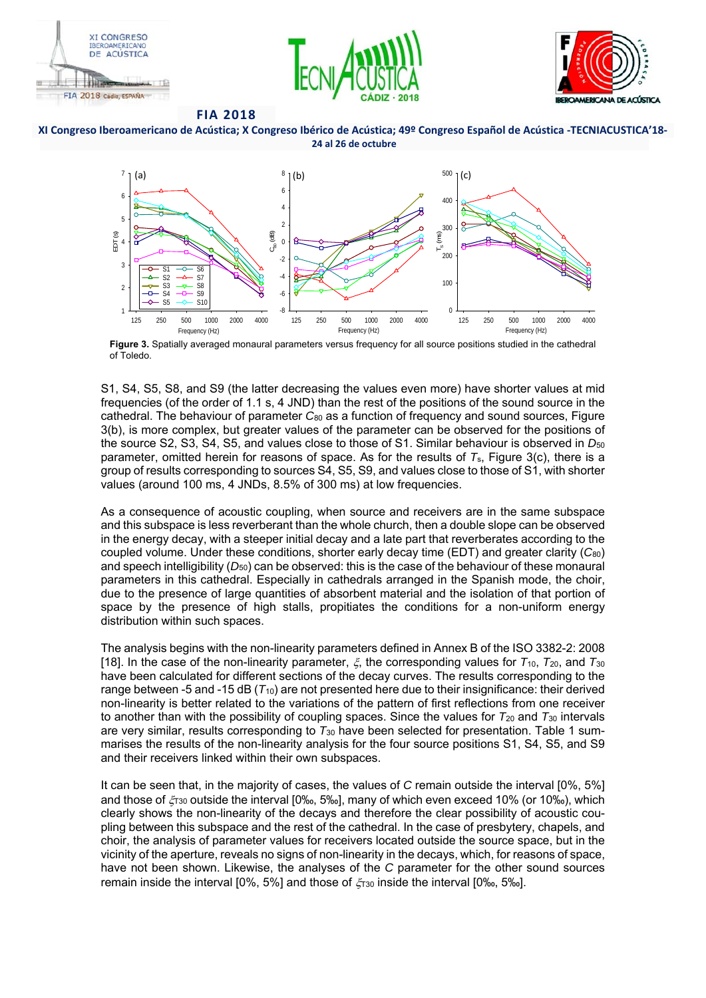









**Figure 3.** Spatially averaged monaural parameters versus frequency for all source positions studied in the cathedral of Toledo.

S1, S4, S5, S8, and S9 (the latter decreasing the values even more) have shorter values at mid frequencies (of the order of 1.1 s, 4 JND) than the rest of the positions of the sound source in the cathedral. The behaviour of parameter *C*80 as a function of frequency and sound sources, Figure 3(b), is more complex, but greater values of the parameter can be observed for the positions of the source S2, S3, S4, S5, and values close to those of S1. Similar behaviour is observed in  $D_{50}$ parameter, omitted herein for reasons of space. As for the results of *T*s, Figure 3(c), there is a group of results corresponding to sources S4, S5, S9, and values close to those of S1, with shorter values (around 100 ms, 4 JNDs, 8.5% of 300 ms) at low frequencies.

As a consequence of acoustic coupling, when source and receivers are in the same subspace and this subspace is less reverberant than the whole church, then a double slope can be observed in the energy decay, with a steeper initial decay and a late part that reverberates according to the coupled volume. Under these conditions, shorter early decay time (EDT) and greater clarity (*C*80) and speech intelligibility  $(D_{50})$  can be observed: this is the case of the behaviour of these monaural parameters in this cathedral. Especially in cathedrals arranged in the Spanish mode, the choir, due to the presence of large quantities of absorbent material and the isolation of that portion of space by the presence of high stalls, propitiates the conditions for a non-uniform energy distribution within such spaces.

The analysis begins with the non-linearity parameters defined in Annex B of the ISO 3382-2: 2008 [18]. In the case of the non-linearity parameter,  $\xi$ , the corresponding values for  $T_{10}$ ,  $T_{20}$ , and  $T_{30}$ have been calculated for different sections of the decay curves. The results corresponding to the range between -5 and -15 dB ( $T_{10}$ ) are not presented here due to their insignificance: their derived non-linearity is better related to the variations of the pattern of first reflections from one receiver to another than with the possibility of coupling spaces. Since the values for *T*20 and *T*30 intervals are very similar, results corresponding to *T*30 have been selected for presentation. Table 1 summarises the results of the non-linearity analysis for the four source positions S1, S4, S5, and S9 and their receivers linked within their own subspaces.

It can be seen that, in the majority of cases, the values of *C* remain outside the interval [0%, 5%] and those of  $\zeta_{130}$  outside the interval [0‰, 5‰], many of which even exceed 10% (or 10‰), which clearly shows the non-linearity of the decays and therefore the clear possibility of acoustic coupling between this subspace and the rest of the cathedral. In the case of presbytery, chapels, and choir, the analysis of parameter values for receivers located outside the source space, but in the vicinity of the aperture, reveals no signs of non-linearity in the decays, which, for reasons of space, have not been shown. Likewise, the analyses of the *C* parameter for the other sound sources remain inside the interval [0%, 5%] and those of  $\zeta_{130}$  inside the interval [0‰, 5‰].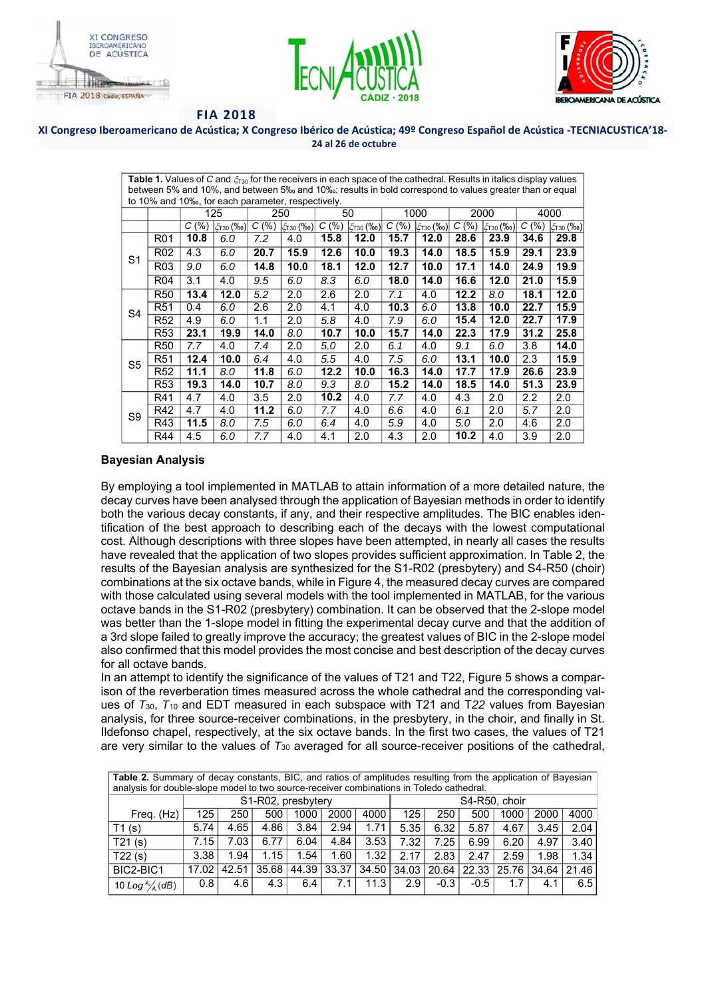





#### **XI Congreso Iberoamericano de Acústica; X Congreso Ibérico de Acústica; 49º Congreso Español de Acústica ‐TECNIACUSTICA'18‐ 24 al 26 de octubre**

| <b>Table 1.</b> Values of C and $\xi_{730}$ for the receivers in each space of the cathedral. Results in italics display values |                 |       |                       |       |                    |       |          |       |                       |       |                       |      |                       |
|---------------------------------------------------------------------------------------------------------------------------------|-----------------|-------|-----------------------|-------|--------------------|-------|----------|-------|-----------------------|-------|-----------------------|------|-----------------------|
| between 5% and 10%, and between 5‰ and 10‰; results in bold correspond to values greater than or equal                          |                 |       |                       |       |                    |       |          |       |                       |       |                       |      |                       |
| to 10% and 10 <sub>%</sub> , for each parameter, respectively.                                                                  |                 |       |                       |       |                    |       |          |       |                       |       |                       |      |                       |
|                                                                                                                                 |                 | 125   |                       | 250   |                    | 50    |          | 1000  |                       | 2000  |                       | 4000 |                       |
|                                                                                                                                 |                 | C(% ) | $ \xi_{T30}(\%_{0}) $ | C(% ) | $ \xi_{T30}(\%0) $ | C(% ) | 5130 (‰) | C(% ) | $ \xi_{T30}(\%_{0}) $ | C(% ) | $ \xi_{T30}(\%_{0}) $ | C(%) | $ \xi_{T30}(\%_{0}) $ |
| S <sub>1</sub>                                                                                                                  | R <sub>01</sub> | 10.8  | 6.0                   | 7.2   | 4.0                | 15.8  | 12.0     | 15.7  | 12.0                  | 28.6  | 23.9                  | 34.6 | 29.8                  |
|                                                                                                                                 | R <sub>02</sub> | 4.3   | 6.0                   | 20.7  | 15.9               | 12.6  | 10.0     | 19.3  | 14.0                  | 18.5  | 15.9                  | 29.1 | 23.9                  |
|                                                                                                                                 | R <sub>03</sub> | 9.0   | 6.0                   | 14.8  | 10.0               | 18.1  | 12.0     | 12.7  | 10.0                  | 17.1  | 14.0                  | 24.9 | 19.9                  |
|                                                                                                                                 | R04             | 3.1   | 4.0                   | 9.5   | 6.0                | 8.3   | 6.0      | 18.0  | 14.0                  | 16.6  | 12.0                  | 21.0 | 15.9                  |
| S4                                                                                                                              | R50             | 13.4  | 12.0                  | 5.2   | 2.0                | 2.6   | 2.0      | 7.1   | 4.0                   | 12.2  | 8.0                   | 18.1 | 12.0                  |
|                                                                                                                                 | R <sub>51</sub> | 0.4   | 6.0                   | 2.6   | 2.0                | 4.1   | 4.0      | 10.3  | 6.0                   | 13.8  | 10.0                  | 22.7 | 15.9                  |
|                                                                                                                                 | R <sub>52</sub> | 4.9   | 6.0                   | 1.1   | 2.0                | 5.8   | 4.0      | 7.9   | 6.0                   | 15.4  | 12.0                  | 22.7 | 17.9                  |
|                                                                                                                                 | R53             | 23.1  | 19.9                  | 14.0  | 8.0                | 10.7  | 10.0     | 15.7  | 14.0                  | 22.3  | 17.9                  | 31.2 | 25.8                  |
| S5                                                                                                                              | <b>R50</b>      | 7.7   | 4.0                   | 7.4   | 2.0                | 5.0   | 2.0      | 6.1   | 4.0                   | 9.1   | 6.0                   | 3.8  | 14.0                  |
|                                                                                                                                 | R <sub>51</sub> | 12.4  | 10.0                  | 6.4   | 4.0                | 5.5   | 4.0      | 7.5   | 6.0                   | 13.1  | 10.0                  | 2.3  | 15.9                  |
|                                                                                                                                 | R52             | 11.1  | 8.0                   | 11.8  | 6.0                | 12.2  | 10.0     | 16.3  | 14.0                  | 17.7  | 17.9                  | 26.6 | 23.9                  |
|                                                                                                                                 | R <sub>53</sub> | 19.3  | 14.0                  | 10.7  | 8.0                | 9.3   | 8.0      | 15.2  | 14.0                  | 18.5  | 14.0                  | 51.3 | 23.9                  |
| S9                                                                                                                              | R41             | 4.7   | 4.0                   | 3.5   | 2.0                | 10.2  | 4.0      | 7.7   | 4.0                   | 4.3   | 2.0                   | 2.2  | 2.0                   |
|                                                                                                                                 | R42             | 4.7   | 4.0                   | 11.2  | 6.0                | 7.7   | 4.0      | 6.6   | 4.0                   | 6.1   | 2.0                   | 5.7  | 2.0                   |
|                                                                                                                                 | R43             | 11.5  | 8.0                   | 7.5   | 6.0                | 6.4   | 4.0      | 5.9   | 4.0                   | 5.0   | 2.0                   | 4.6  | 2.0                   |
|                                                                                                                                 | R44             | 4.5   | 6.0                   | 7.7   | 4.0                | 4.1   | 2.0      | 4.3   | 2.0                   | 10.2  | 4.0                   | 3.9  | 2.0                   |

### **Bayesian Analysis**

By employing a tool implemented in MATLAB to attain information of a more detailed nature, the decay curves have been analysed through the application of Bayesian methods in order to identify both the various decay constants, if any, and their respective amplitudes. The BIC enables identification of the best approach to describing each of the decays with the lowest computational cost. Although descriptions with three slopes have been attempted, in nearly all cases the results have revealed that the application of two slopes provides sufficient approximation. In Table 2, the results of the Bayesian analysis are synthesized for the S1-R02 (presbytery) and S4-R50 (choir) combinations at the six octave bands, while in Figure 4, the measured decay curves are compared with those calculated using several models with the tool implemented in MATLAB, for the various octave bands in the S1-R02 (presbytery) combination. It can be observed that the 2-slope model was better than the 1-slope model in fitting the experimental decay curve and that the addition of a 3rd slope failed to greatly improve the accuracy; the greatest values of BIC in the 2-slope model also confirmed that this model provides the most concise and best description of the decay curves for all octave bands.

In an attempt to identify the significance of the values of T21 and T22, Figure 5 shows a comparison of the reverberation times measured across the whole cathedral and the corresponding values of *T*30, *T*10 and EDT measured in each subspace with T21 and T*22* values from Bayesian analysis, for three source-receiver combinations, in the presbytery, in the choir, and finally in St. Ildefonso chapel, respectively, at the six octave bands. In the first two cases, the values of T21 are very similar to the values of *T*30 averaged for all source-receiver positions of the cathedral,

| Table 2. Summary of decay constants, BIC, and ratios of amplitudes resulting from the application of Bayesian |                    |       |       |       |       |       |       |               |        |      |                       |       |  |  |
|---------------------------------------------------------------------------------------------------------------|--------------------|-------|-------|-------|-------|-------|-------|---------------|--------|------|-----------------------|-------|--|--|
| analysis for double-slope model to two source-receiver combinations in Toledo cathedral.                      |                    |       |       |       |       |       |       |               |        |      |                       |       |  |  |
|                                                                                                               | S1-R02, presbytery |       |       |       |       |       |       | S4-R50, choir |        |      |                       |       |  |  |
| Freq. (Hz)                                                                                                    | 125                | 250   | 500   | 1000  | 2000  | 4000  | 125   | 250           | 500    | 1000 | 2000                  | 4000  |  |  |
| T1(s)                                                                                                         | 5.74               | 4.65  | 4.86  | 3.84  | 2.94  | 1.71  | 5.35  | 6.32          | 5.87   | 4.67 | 3.45                  | 2.04  |  |  |
| T21(s)                                                                                                        | 7.15               | 7.03  | 6.77  | 6.04  | 4.84  | 3.53  | 7.32  | 7.25          | 6.99   | 6.20 | 4.97                  | 3.40  |  |  |
| T22(s)                                                                                                        | 3.38               | 1.94  | 1.15  | 1.54  | 1.60  | 1.32  | 2.17  | 2.83          | 2.47   | 2.59 | 1.98                  | 1.34  |  |  |
| BIC2-BIC1                                                                                                     | 17.02              | 42.51 | 35.68 | 44.39 | 33.37 | 34.50 | 34.03 | 20.64         |        |      | 22.33   25.76   34.64 | 21.46 |  |  |
| 10 Log $\frac{A}{A}$ (dB)                                                                                     | 0.8                | 4.6   | 4.3   | 6.4   | 7.1   | 11.3  | 2.9   | $-0.3$        | $-0.5$ | 1.7  | 4.1                   | 6.5   |  |  |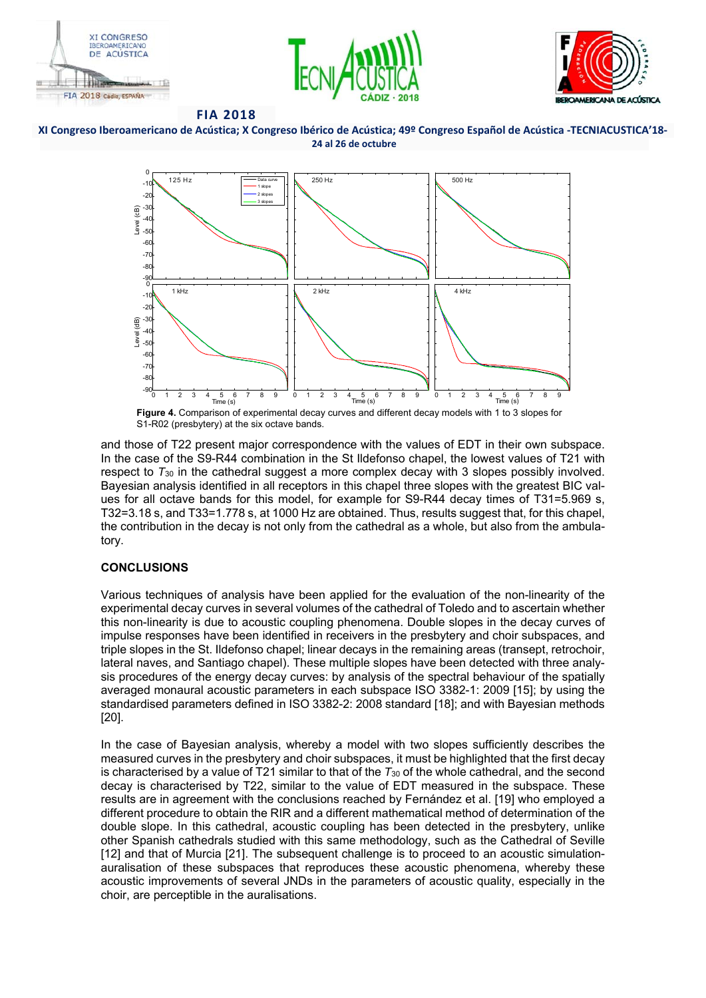









S1-R02 (presbytery) at the six octave bands.

and those of T22 present major correspondence with the values of EDT in their own subspace. In the case of the S9-R44 combination in the St Ildefonso chapel, the lowest values of T21 with respect to *T*30 in the cathedral suggest a more complex decay with 3 slopes possibly involved. Bayesian analysis identified in all receptors in this chapel three slopes with the greatest BIC values for all octave bands for this model, for example for S9-R44 decay times of T31=5.969 s, T32=3.18 s, and T33=1.778 s, at 1000 Hz are obtained. Thus, results suggest that, for this chapel, the contribution in the decay is not only from the cathedral as a whole, but also from the ambulatory.

# **CONCLUSIONS**

Various techniques of analysis have been applied for the evaluation of the non-linearity of the experimental decay curves in several volumes of the cathedral of Toledo and to ascertain whether this non-linearity is due to acoustic coupling phenomena. Double slopes in the decay curves of impulse responses have been identified in receivers in the presbytery and choir subspaces, and triple slopes in the St. Ildefonso chapel; linear decays in the remaining areas (transept, retrochoir, lateral naves, and Santiago chapel). These multiple slopes have been detected with three analysis procedures of the energy decay curves: by analysis of the spectral behaviour of the spatially averaged monaural acoustic parameters in each subspace ISO 3382-1: 2009 [15]; by using the standardised parameters defined in ISO 3382-2: 2008 standard [18]; and with Bayesian methods [20].

In the case of Bayesian analysis, whereby a model with two slopes sufficiently describes the measured curves in the presbytery and choir subspaces, it must be highlighted that the first decay is characterised by a value of T21 similar to that of the *T*30 of the whole cathedral, and the second decay is characterised by T22, similar to the value of EDT measured in the subspace. These results are in agreement with the conclusions reached by Fernández et al. [19] who employed a different procedure to obtain the RIR and a different mathematical method of determination of the double slope. In this cathedral, acoustic coupling has been detected in the presbytery, unlike other Spanish cathedrals studied with this same methodology, such as the Cathedral of Seville [12] and that of Murcia [21]. The subsequent challenge is to proceed to an acoustic simulationauralisation of these subspaces that reproduces these acoustic phenomena, whereby these acoustic improvements of several JNDs in the parameters of acoustic quality, especially in the choir, are perceptible in the auralisations.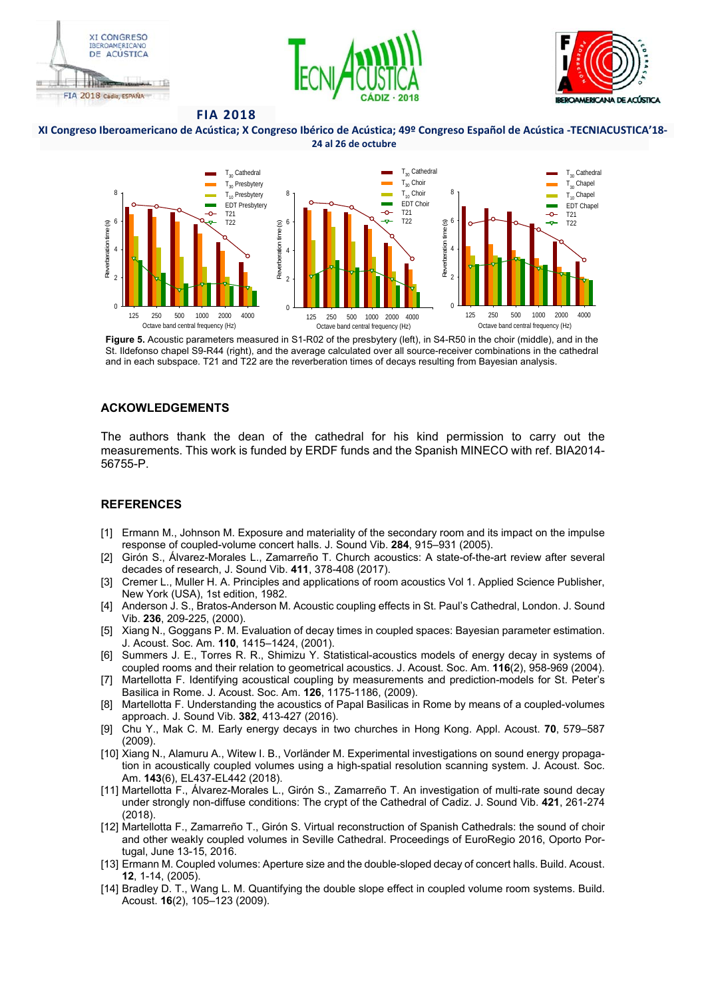





**XI Congreso Iberoamericano de Acústica; X Congreso Ibérico de Acústica; 49º Congreso Español de Acústica ‐TECNIACUSTICA'18‐ 24 al 26 de octubre** 



**Figure 5.** Acoustic parameters measured in S1-R02 of the presbytery (left), in S4-R50 in the choir (middle), and in the St. Ildefonso chapel S9-R44 (right), and the average calculated over all source-receiver combinations in the cathedral and in each subspace. T21 and T22 are the reverberation times of decays resulting from Bayesian analysis.

#### **ACKOWLEDGEMENTS**

The authors thank the dean of the cathedral for his kind permission to carry out the measurements. This work is funded by ERDF funds and the Spanish MINECO with ref. BIA2014- 56755-P.

#### **REFERENCES**

- [1] Ermann M., Johnson M. Exposure and materiality of the secondary room and its impact on the impulse response of coupled-volume concert halls. J. Sound Vib. **284**, 915–931 (2005).
- [2] Girón S., Álvarez-Morales L., Zamarreño T. Church acoustics: A state-of-the-art review after several decades of research, J. Sound Vib. **411**, 378-408 (2017).
- [3] Cremer L., Muller H. A. Principles and applications of room acoustics Vol 1. Applied Science Publisher, New York (USA), 1st edition, 1982.
- [4] Anderson J. S., Bratos-Anderson M. Acoustic coupling effects in St. Paul's Cathedral, London. J. Sound Vib. **236**, 209-225, (2000).
- [5] Xiang N., Goggans P. M. Evaluation of decay times in coupled spaces: Bayesian parameter estimation. J. Acoust. Soc. Am. **110**, 1415–1424, (2001).
- [6] Summers J. E., Torres R. R., Shimizu Y. Statistical-acoustics models of energy decay in systems of coupled rooms and their relation to geometrical acoustics. J. Acoust. Soc. Am. **116**(2), 958-969 (2004).
- [7] Martellotta F. Identifying acoustical coupling by measurements and prediction-models for St. Peter's Basilica in Rome. J. Acoust. Soc. Am. **126**, 1175-1186, (2009).
- [8] Martellotta F. Understanding the acoustics of Papal Basilicas in Rome by means of a coupled-volumes approach. J. Sound Vib. **382**, 413-427 (2016).
- [9] Chu Y., Mak C. M. Early energy decays in two churches in Hong Kong. Appl. Acoust. **70**, 579–587 (2009).
- [10] Xiang N., Alamuru A., Witew I. B., Vorländer M. Experimental investigations on sound energy propagation in acoustically coupled volumes using a high-spatial resolution scanning system. J. Acoust. Soc. Am. **143**(6), EL437-EL442 (2018).
- [11] Martellotta F., Álvarez-Morales L., Girón S., Zamarreño T. An investigation of multi-rate sound decay under strongly non-diffuse conditions: The crypt of the Cathedral of Cadiz. J. Sound Vib. **421**, 261-274 (2018).
- [12] Martellotta F., Zamarreño T., Girón S. Virtual reconstruction of Spanish Cathedrals: the sound of choir and other weakly coupled volumes in Seville Cathedral. Proceedings of EuroRegio 2016, Oporto Portugal, June 13-15, 2016.
- [13] Ermann M. Coupled volumes: Aperture size and the double-sloped decay of concert halls. Build. Acoust. **12**, 1-14, (2005).
- [14] Bradley D. T., Wang L. M. Quantifying the double slope effect in coupled volume room systems. Build. Acoust. **16**(2), 105–123 (2009).